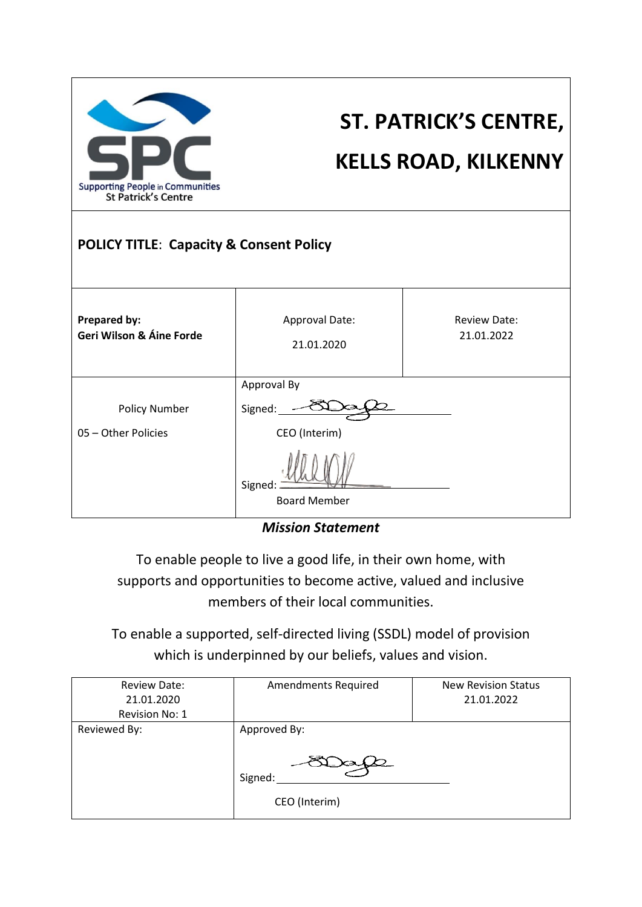

# **ST. PATRICK'S CENTRE,**

### **KELLS ROAD, KILKENNY**

#### **POLICY TITLE**: **Capacity & Consent Policy**

| <b>Prepared by:</b><br>Geri Wilson & Áine Forde | Approval Date:<br>21.01.2020                                              | <b>Review Date:</b><br>21.01.2022 |
|-------------------------------------------------|---------------------------------------------------------------------------|-----------------------------------|
| <b>Policy Number</b><br>05 - Other Policies     | Approval By<br>Signed:<br>CEO (Interim)<br>Signed:<br><b>Board Member</b> |                                   |

*Mission Statement*

To enable people to live a good life, in their own home, with supports and opportunities to become active, valued and inclusive members of their local communities.

To enable a supported, self-directed living (SSDL) model of provision which is underpinned by our beliefs, values and vision.

| <b>Review Date:</b><br>21.01.2020<br>Revision No: 1 | <b>Amendments Required</b>               | <b>New Revision Status</b><br>21.01.2022 |
|-----------------------------------------------------|------------------------------------------|------------------------------------------|
| Reviewed By:                                        | Approved By:<br>Signed:<br>CEO (Interim) |                                          |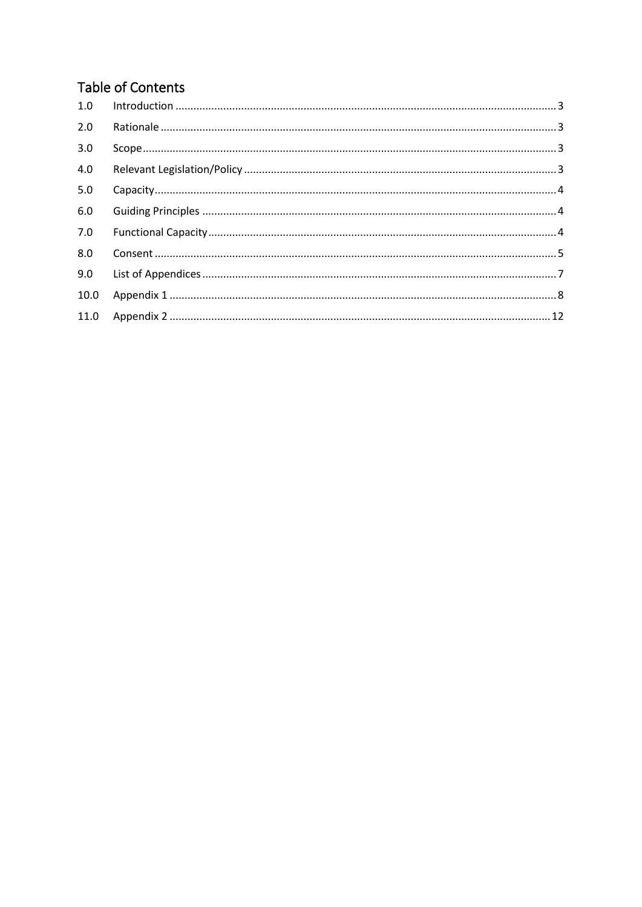#### **Table of Contents**

| 1.0  |  |
|------|--|
| 2.0  |  |
| 3.0  |  |
| 4.0  |  |
| 5.0  |  |
| 6.0  |  |
| 7.0  |  |
| 8.0  |  |
| 9.0  |  |
| 10.0 |  |
|      |  |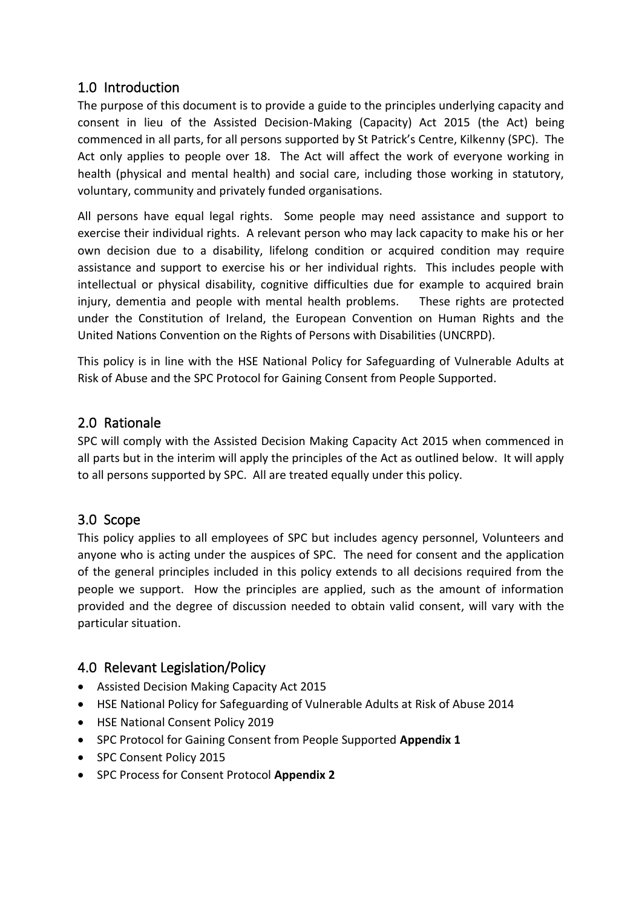#### <span id="page-2-0"></span>1.0 Introduction

The purpose of this document is to provide a guide to the principles underlying capacity and consent in lieu of the Assisted Decision-Making (Capacity) Act 2015 (the Act) being commenced in all parts, for all persons supported by St Patrick's Centre, Kilkenny (SPC). The Act only applies to people over 18. The Act will affect the work of everyone working in health (physical and mental health) and social care, including those working in statutory, voluntary, community and privately funded organisations.

All persons have equal legal rights. Some people may need assistance and support to exercise their individual rights. A relevant person who may lack capacity to make his or her own decision due to a disability, lifelong condition or acquired condition may require assistance and support to exercise his or her individual rights. This includes people with intellectual or physical disability, cognitive difficulties due for example to acquired brain injury, dementia and people with mental health problems. These rights are protected under the Constitution of Ireland, the European Convention on Human Rights and the United Nations Convention on the Rights of Persons with Disabilities (UNCRPD).

This policy is in line with the HSE National Policy for Safeguarding of Vulnerable Adults at Risk of Abuse and the SPC Protocol for Gaining Consent from People Supported.

#### <span id="page-2-1"></span>2.0 Rationale

SPC will comply with the Assisted Decision Making Capacity Act 2015 when commenced in all parts but in the interim will apply the principles of the Act as outlined below. It will apply to all persons supported by SPC. All are treated equally under this policy.

#### <span id="page-2-2"></span>3.0 Scope

This policy applies to all employees of SPC but includes agency personnel, Volunteers and anyone who is acting under the auspices of SPC. The need for consent and the application of the general principles included in this policy extends to all decisions required from the people we support. How the principles are applied, such as the amount of information provided and the degree of discussion needed to obtain valid consent, will vary with the particular situation.

#### <span id="page-2-3"></span>4.0 Relevant Legislation/Policy

- Assisted Decision Making Capacity Act 2015
- HSE National Policy for Safeguarding of Vulnerable Adults at Risk of Abuse 2014
- HSE National Consent Policy 2019
- SPC Protocol for Gaining Consent from People Supported **Appendix 1**
- SPC Consent Policy 2015
- SPC Process for Consent Protocol **Appendix 2**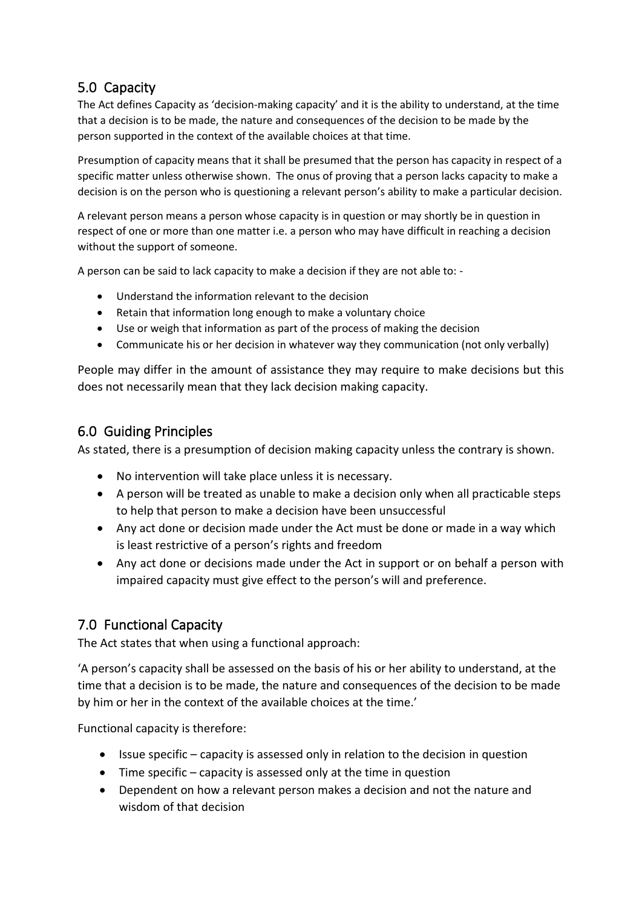#### <span id="page-3-0"></span>5.0 Capacity

The Act defines Capacity as 'decision-making capacity' and it is the ability to understand, at the time that a decision is to be made, the nature and consequences of the decision to be made by the person supported in the context of the available choices at that time.

Presumption of capacity means that it shall be presumed that the person has capacity in respect of a specific matter unless otherwise shown. The onus of proving that a person lacks capacity to make a decision is on the person who is questioning a relevant person's ability to make a particular decision.

A relevant person means a person whose capacity is in question or may shortly be in question in respect of one or more than one matter i.e. a person who may have difficult in reaching a decision without the support of someone.

A person can be said to lack capacity to make a decision if they are not able to: -

- Understand the information relevant to the decision
- Retain that information long enough to make a voluntary choice
- Use or weigh that information as part of the process of making the decision
- Communicate his or her decision in whatever way they communication (not only verbally)

People may differ in the amount of assistance they may require to make decisions but this does not necessarily mean that they lack decision making capacity.

#### <span id="page-3-1"></span>6.0 Guiding Principles

As stated, there is a presumption of decision making capacity unless the contrary is shown.

- No intervention will take place unless it is necessary.
- A person will be treated as unable to make a decision only when all practicable steps to help that person to make a decision have been unsuccessful
- Any act done or decision made under the Act must be done or made in a way which is least restrictive of a person's rights and freedom
- Any act done or decisions made under the Act in support or on behalf a person with impaired capacity must give effect to the person's will and preference.

#### <span id="page-3-2"></span>7.0 Functional Capacity

The Act states that when using a functional approach:

'A person's capacity shall be assessed on the basis of his or her ability to understand, at the time that a decision is to be made, the nature and consequences of the decision to be made by him or her in the context of the available choices at the time.'

Functional capacity is therefore:

- Issue specific capacity is assessed only in relation to the decision in question
- $\bullet$  Time specific capacity is assessed only at the time in question
- Dependent on how a relevant person makes a decision and not the nature and wisdom of that decision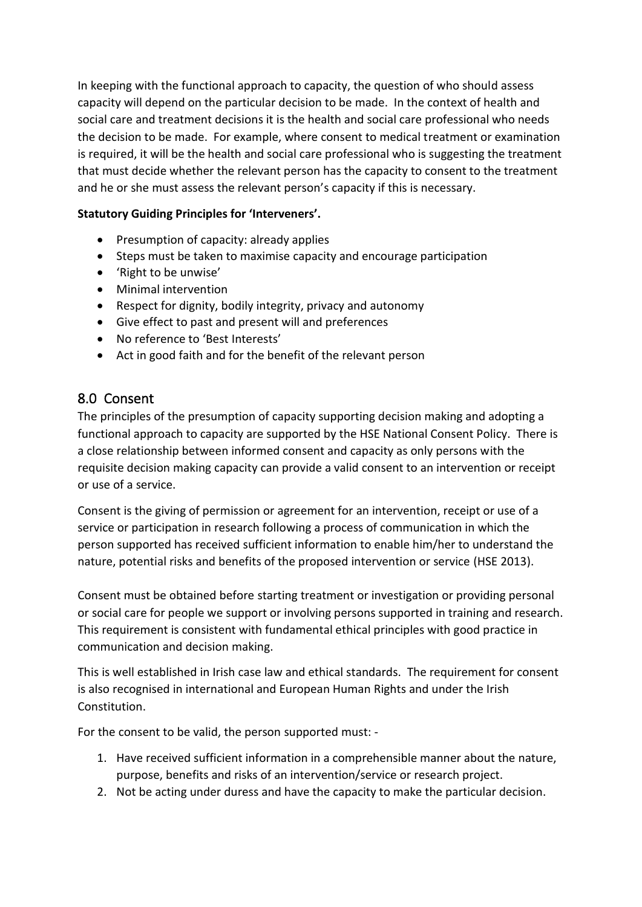In keeping with the functional approach to capacity, the question of who should assess capacity will depend on the particular decision to be made. In the context of health and social care and treatment decisions it is the health and social care professional who needs the decision to be made. For example, where consent to medical treatment or examination is required, it will be the health and social care professional who is suggesting the treatment that must decide whether the relevant person has the capacity to consent to the treatment and he or she must assess the relevant person's capacity if this is necessary.

#### **Statutory Guiding Principles for 'Interveners'.**

- Presumption of capacity: already applies
- Steps must be taken to maximise capacity and encourage participation
- 'Right to be unwise'
- Minimal intervention
- Respect for dignity, bodily integrity, privacy and autonomy
- Give effect to past and present will and preferences
- No reference to 'Best Interests'
- <span id="page-4-0"></span>• Act in good faith and for the benefit of the relevant person

#### 8.0 Consent

The principles of the presumption of capacity supporting decision making and adopting a functional approach to capacity are supported by the HSE National Consent Policy. There is a close relationship between informed consent and capacity as only persons with the requisite decision making capacity can provide a valid consent to an intervention or receipt or use of a service.

Consent is the giving of permission or agreement for an intervention, receipt or use of a service or participation in research following a process of communication in which the person supported has received sufficient information to enable him/her to understand the nature, potential risks and benefits of the proposed intervention or service (HSE 2013).

Consent must be obtained before starting treatment or investigation or providing personal or social care for people we support or involving persons supported in training and research. This requirement is consistent with fundamental ethical principles with good practice in communication and decision making.

This is well established in Irish case law and ethical standards. The requirement for consent is also recognised in international and European Human Rights and under the Irish Constitution.

For the consent to be valid, the person supported must: -

- 1. Have received sufficient information in a comprehensible manner about the nature, purpose, benefits and risks of an intervention/service or research project.
- 2. Not be acting under duress and have the capacity to make the particular decision.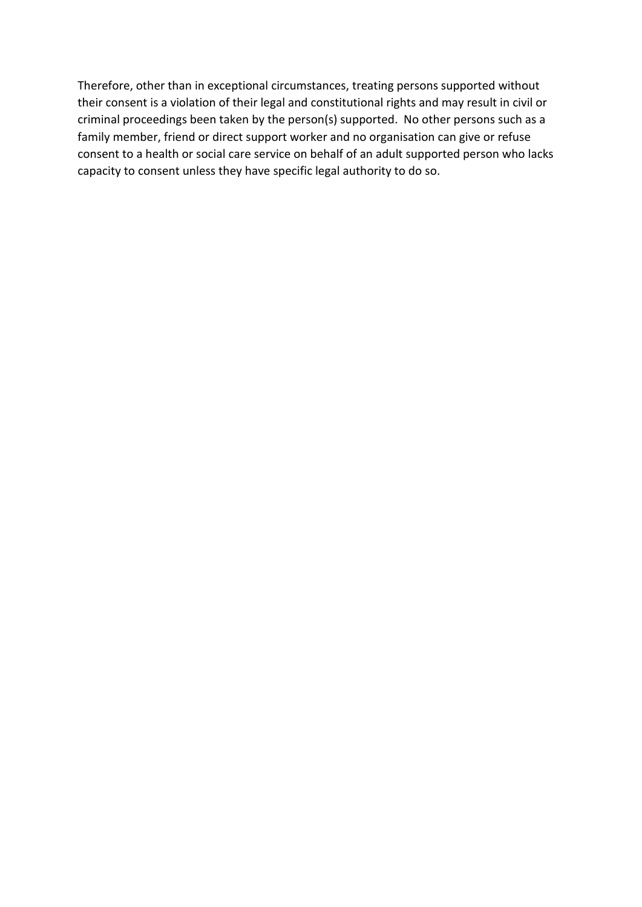Therefore, other than in exceptional circumstances, treating persons supported without their consent is a violation of their legal and constitutional rights and may result in civil or criminal proceedings been taken by the person(s) supported. No other persons such as a family member, friend or direct support worker and no organisation can give or refuse consent to a health or social care service on behalf of an adult supported person who lacks capacity to consent unless they have specific legal authority to do so.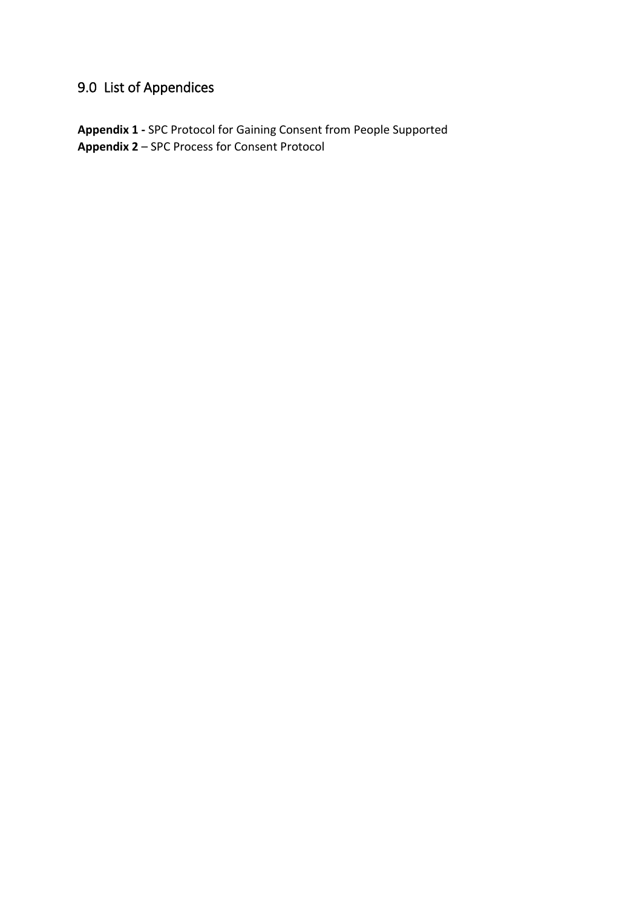### <span id="page-6-0"></span>9.0 List of Appendices

**Appendix 1 -** SPC Protocol for Gaining Consent from People Supported **Appendix 2** – SPC Process for Consent Protocol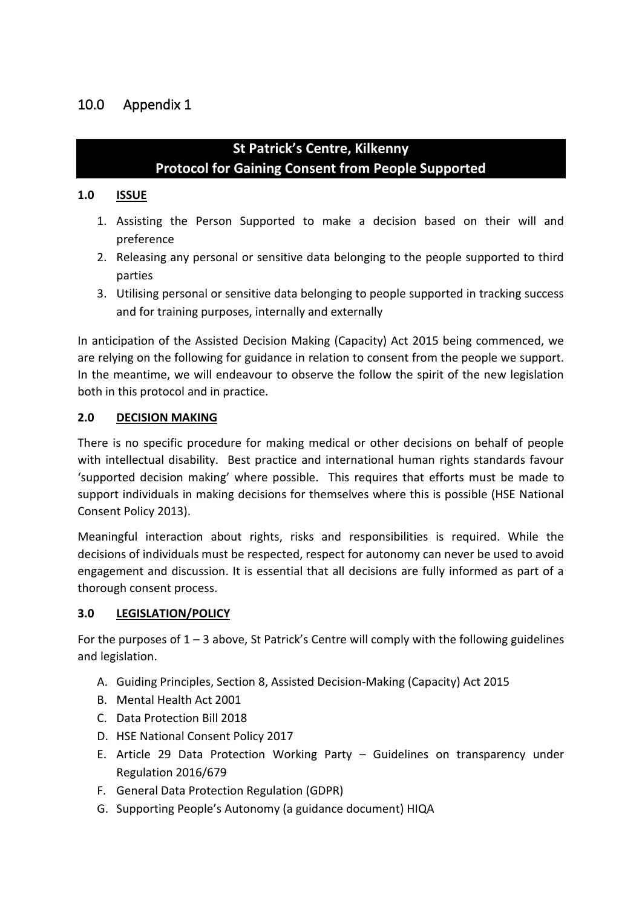#### <span id="page-7-0"></span>**St Patrick's Centre, Kilkenny Protocol for Gaining Consent from People Supported**

#### **1.0 ISSUE**

- 1. Assisting the Person Supported to make a decision based on their will and preference
- 2. Releasing any personal or sensitive data belonging to the people supported to third parties
- 3. Utilising personal or sensitive data belonging to people supported in tracking success and for training purposes, internally and externally

In anticipation of the Assisted Decision Making (Capacity) Act 2015 being commenced, we are relying on the following for guidance in relation to consent from the people we support. In the meantime, we will endeavour to observe the follow the spirit of the new legislation both in this protocol and in practice.

#### **2.0 DECISION MAKING**

There is no specific procedure for making medical or other decisions on behalf of people with intellectual disability. Best practice and international human rights standards favour 'supported decision making' where possible. This requires that efforts must be made to support individuals in making decisions for themselves where this is possible (HSE National Consent Policy 2013).

Meaningful interaction about rights, risks and responsibilities is required. While the decisions of individuals must be respected, respect for autonomy can never be used to avoid engagement and discussion. It is essential that all decisions are fully informed as part of a thorough consent process.

#### **3.0 LEGISLATION/POLICY**

For the purposes of 1 – 3 above, St Patrick's Centre will comply with the following guidelines and legislation.

- A. Guiding Principles, Section 8, Assisted Decision-Making (Capacity) Act 2015
- B. Mental Health Act 2001
- C. Data Protection Bill 2018
- D. HSE National Consent Policy 2017
- E. Article 29 Data Protection Working Party Guidelines on transparency under Regulation 2016/679
- F. General Data Protection Regulation (GDPR)
- G. Supporting People's Autonomy (a guidance document) HIQA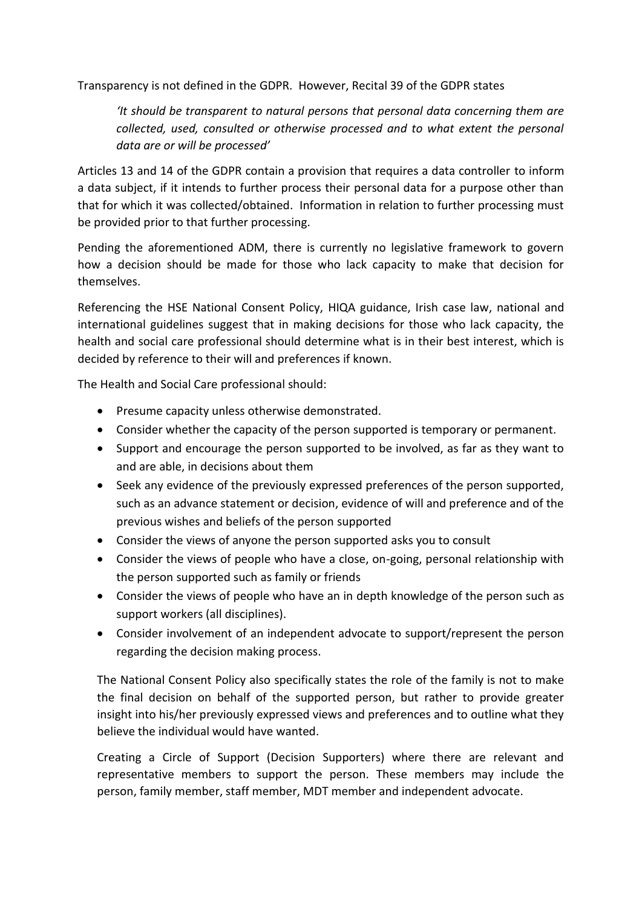Transparency is not defined in the GDPR. However, Recital 39 of the GDPR states

*'It should be transparent to natural persons that personal data concerning them are collected, used, consulted or otherwise processed and to what extent the personal data are or will be processed'* 

Articles 13 and 14 of the GDPR contain a provision that requires a data controller to inform a data subject, if it intends to further process their personal data for a purpose other than that for which it was collected/obtained. Information in relation to further processing must be provided prior to that further processing.

Pending the aforementioned ADM, there is currently no legislative framework to govern how a decision should be made for those who lack capacity to make that decision for themselves.

Referencing the HSE National Consent Policy, HIQA guidance, Irish case law, national and international guidelines suggest that in making decisions for those who lack capacity, the health and social care professional should determine what is in their best interest, which is decided by reference to their will and preferences if known.

The Health and Social Care professional should:

- Presume capacity unless otherwise demonstrated.
- Consider whether the capacity of the person supported is temporary or permanent.
- Support and encourage the person supported to be involved, as far as they want to and are able, in decisions about them
- Seek any evidence of the previously expressed preferences of the person supported, such as an advance statement or decision, evidence of will and preference and of the previous wishes and beliefs of the person supported
- Consider the views of anyone the person supported asks you to consult
- Consider the views of people who have a close, on-going, personal relationship with the person supported such as family or friends
- Consider the views of people who have an in depth knowledge of the person such as support workers (all disciplines).
- Consider involvement of an independent advocate to support/represent the person regarding the decision making process.

The National Consent Policy also specifically states the role of the family is not to make the final decision on behalf of the supported person, but rather to provide greater insight into his/her previously expressed views and preferences and to outline what they believe the individual would have wanted.

Creating a Circle of Support (Decision Supporters) where there are relevant and representative members to support the person. These members may include the person, family member, staff member, MDT member and independent advocate.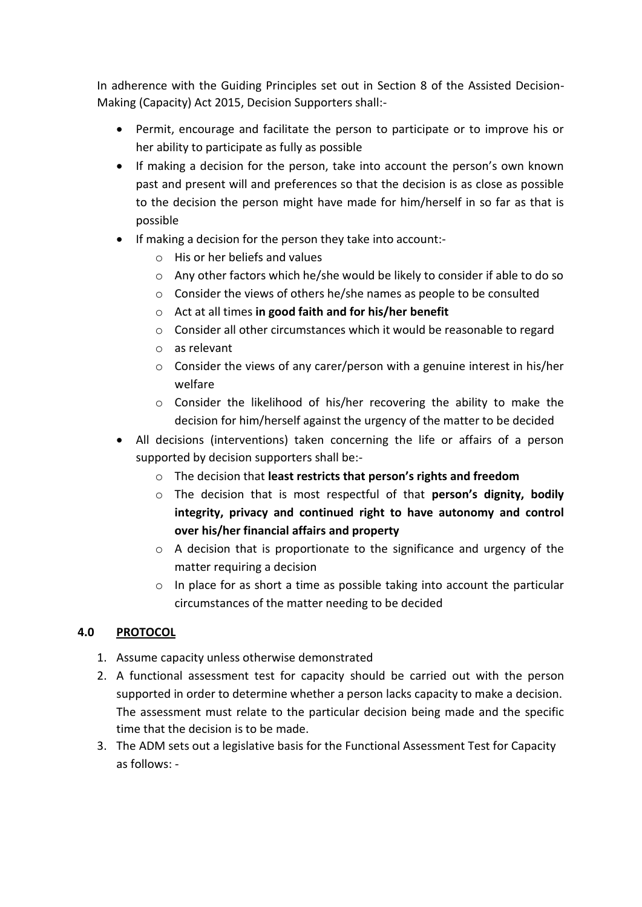In adherence with the Guiding Principles set out in Section 8 of the Assisted Decision-Making (Capacity) Act 2015, Decision Supporters shall:-

- Permit, encourage and facilitate the person to participate or to improve his or her ability to participate as fully as possible
- If making a decision for the person, take into account the person's own known past and present will and preferences so that the decision is as close as possible to the decision the person might have made for him/herself in so far as that is possible
- If making a decision for the person they take into account:
	- o His or her beliefs and values
	- o Any other factors which he/she would be likely to consider if able to do so
	- o Consider the views of others he/she names as people to be consulted
	- o Act at all times **in good faith and for his/her benefit**
	- $\circ$  Consider all other circumstances which it would be reasonable to regard
	- o as relevant
	- o Consider the views of any carer/person with a genuine interest in his/her welfare
	- o Consider the likelihood of his/her recovering the ability to make the decision for him/herself against the urgency of the matter to be decided
- All decisions (interventions) taken concerning the life or affairs of a person supported by decision supporters shall be:
	- o The decision that **least restricts that person's rights and freedom**
	- o The decision that is most respectful of that **person's dignity, bodily integrity, privacy and continued right to have autonomy and control over his/her financial affairs and property**
	- $\circ$  A decision that is proportionate to the significance and urgency of the matter requiring a decision
	- o In place for as short a time as possible taking into account the particular circumstances of the matter needing to be decided

#### **4.0 PROTOCOL**

- 1. Assume capacity unless otherwise demonstrated
- 2. A functional assessment test for capacity should be carried out with the person supported in order to determine whether a person lacks capacity to make a decision. The assessment must relate to the particular decision being made and the specific time that the decision is to be made.
- 3. The ADM sets out a legislative basis for the Functional Assessment Test for Capacity as follows: -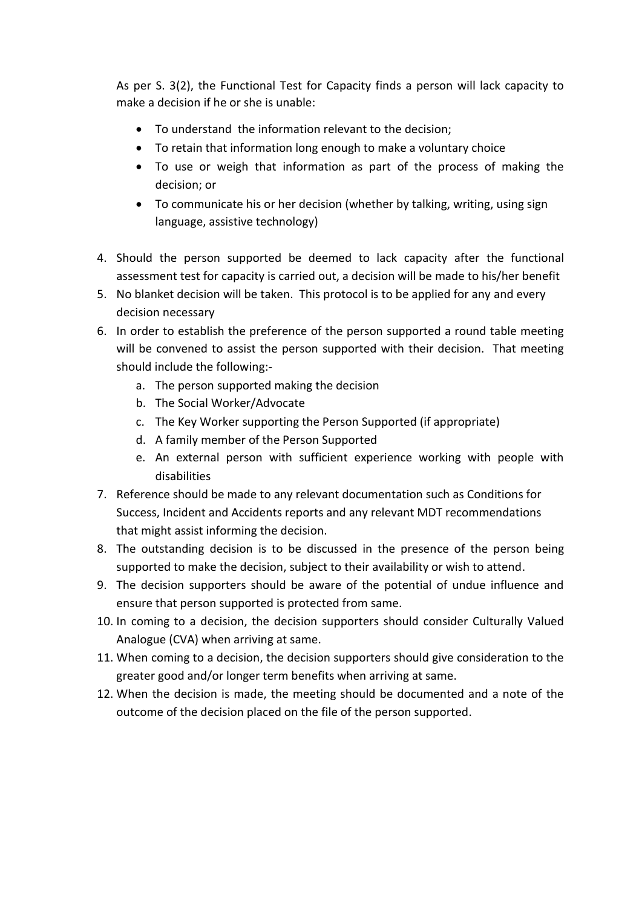As per S. 3(2), the Functional Test for Capacity finds a person will lack capacity to make a decision if he or she is unable:

- To understand the information relevant to the decision;
- To retain that information long enough to make a voluntary choice
- To use or weigh that information as part of the process of making the decision; or
- To communicate his or her decision (whether by talking, writing, using sign language, assistive technology)
- 4. Should the person supported be deemed to lack capacity after the functional assessment test for capacity is carried out, a decision will be made to his/her benefit
- 5. No blanket decision will be taken. This protocol is to be applied for any and every decision necessary
- 6. In order to establish the preference of the person supported a round table meeting will be convened to assist the person supported with their decision. That meeting should include the following:
	- a. The person supported making the decision
	- b. The Social Worker/Advocate
	- c. The Key Worker supporting the Person Supported (if appropriate)
	- d. A family member of the Person Supported
	- e. An external person with sufficient experience working with people with disabilities
- 7. Reference should be made to any relevant documentation such as Conditions for Success, Incident and Accidents reports and any relevant MDT recommendations that might assist informing the decision.
- 8. The outstanding decision is to be discussed in the presence of the person being supported to make the decision, subject to their availability or wish to attend.
- 9. The decision supporters should be aware of the potential of undue influence and ensure that person supported is protected from same.
- 10. In coming to a decision, the decision supporters should consider Culturally Valued Analogue (CVA) when arriving at same.
- 11. When coming to a decision, the decision supporters should give consideration to the greater good and/or longer term benefits when arriving at same.
- 12. When the decision is made, the meeting should be documented and a note of the outcome of the decision placed on the file of the person supported.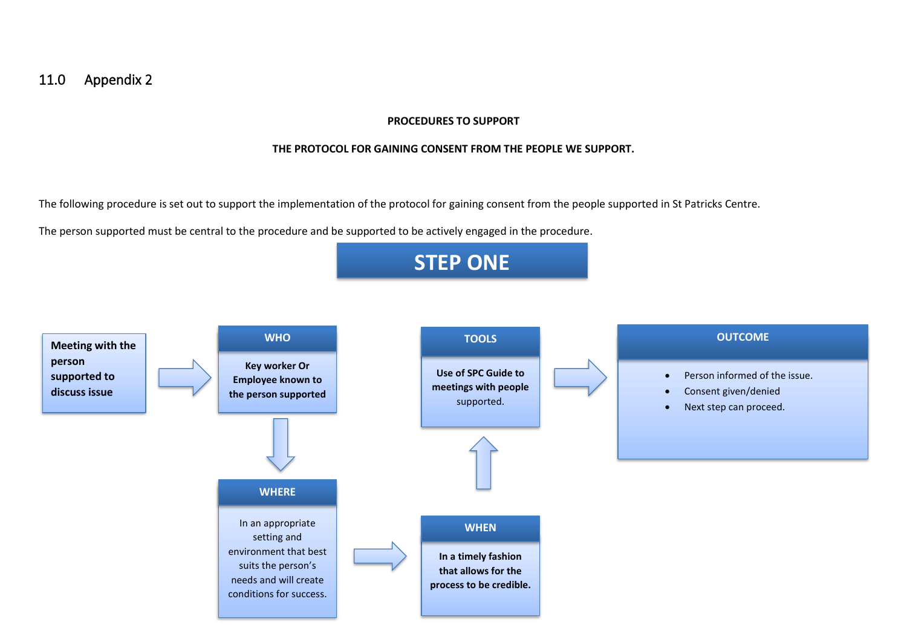#### 11.0 Appendix 2

#### **PROCEDURES TO SUPPORT**

#### **THE PROTOCOL FOR GAINING CONSENT FROM THE PEOPLE WE SUPPORT.**

The following procedure is set out to support the implementation of the protocol for gaining consent from the people supported in St Patricks Centre.

The person supported must be central to the procedure and be supported to be actively engaged in the procedure.

<span id="page-11-0"></span>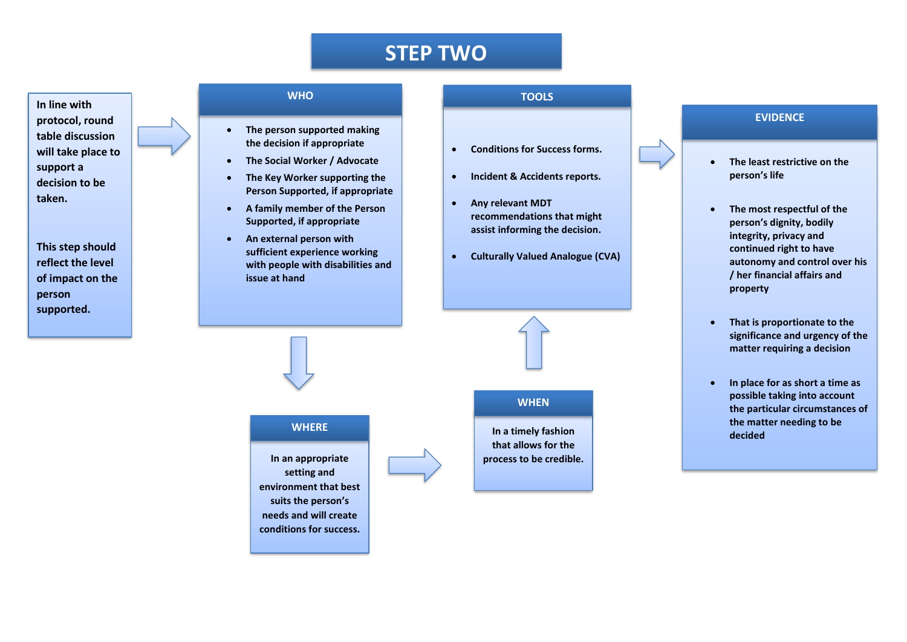### **STEP TWO**

#### **In line with protocol, round table discussion will take place to support a decision to be taken.**

**This step should reflect the level of impact on the person supported.**

#### **WHO**

- **The person supported making the decision if appropriate**
- **The Social Worker / Advocate**
- **The Key Worker supporting the Person Supported, if appropriate**
- **A family member of the Person Supported, if appropriate**
- **An external person with sufficient experience working with people with disabilities and issue at hand**

#### **TOOLS**

- **Conditions for Success forms.**
- **Incident & Accidents reports.**
- **Any relevant MDT recommendations that might assist informing the decision.**
- **Culturally Valued Analogue (CVA)**

#### **EVIDENCE**

- **The least restrictive on the person's life**
- **The most respectful of the person's dignity, bodily integrity, privacy and continued right to have autonomy and control over his / her financial affairs and property**
- **That is proportionate to the significance and urgency of the matter requiring a decision**
- **In place for as short a time as possible taking into account the particular circumstances of the matter needing to be decided**

**In an appropriate setting and environment that best suits the person's needs and will create conditions for success.**



#### **WHEN**

**In a timely fashion In a timely fashion that allows for the process to be credible.**